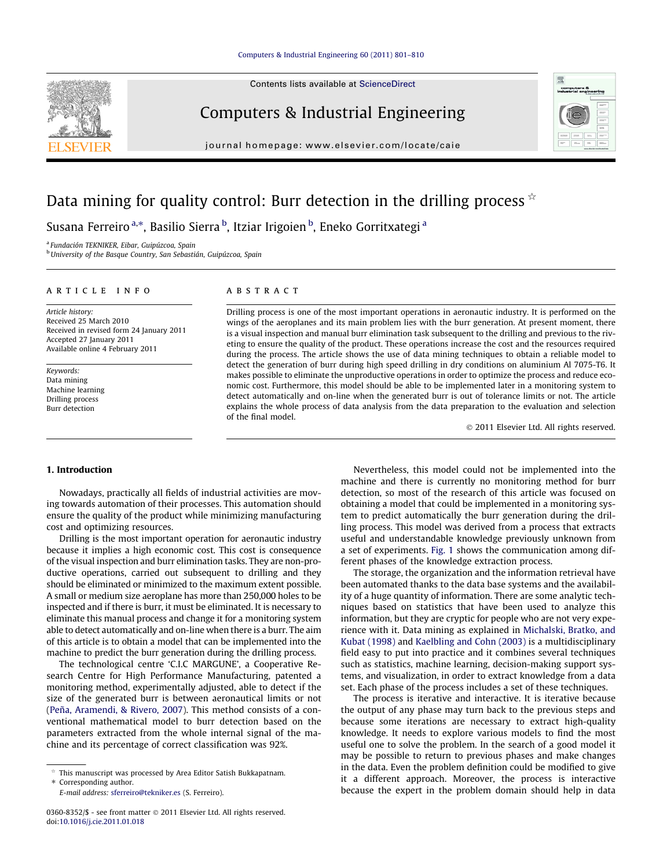Contents lists available at [ScienceDirect](http://www.sciencedirect.com/science/journal/03608352)



journal homepage: [www.elsevier.com/locate/caie](http://www.elsevier.com/locate/caie)



# Data mining for quality control: Burr detection in the drilling process  $\dot{\phi}$

Susana Ferreiro <sup>a,</sup>\*, Basilio Sierra <sup>b</sup>, Itziar Irigoien <sup>b</sup>, Eneko Gorritxategi <sup>a</sup>

<sup>a</sup> Fundación TEKNIKER, Eibar, Guipúzcoa, Spain

<sup>b</sup> University of the Basque Country, San Sebastián, Guipúzcoa, Spain

#### article info

Article history: Received 25 March 2010 Received in revised form 24 January 2011 Accepted 27 January 2011 Available online 4 February 2011

Keywords: Data mining Machine learning Drilling process Burr detection

### **ABSTRACT**

Drilling process is one of the most important operations in aeronautic industry. It is performed on the wings of the aeroplanes and its main problem lies with the burr generation. At present moment, there is a visual inspection and manual burr elimination task subsequent to the drilling and previous to the riveting to ensure the quality of the product. These operations increase the cost and the resources required during the process. The article shows the use of data mining techniques to obtain a reliable model to detect the generation of burr during high speed drilling in dry conditions on aluminium Al 7075-T6. It makes possible to eliminate the unproductive operations in order to optimize the process and reduce economic cost. Furthermore, this model should be able to be implemented later in a monitoring system to detect automatically and on-line when the generated burr is out of tolerance limits or not. The article explains the whole process of data analysis from the data preparation to the evaluation and selection of the final model.

- 2011 Elsevier Ltd. All rights reserved.

## 1. Introduction

Nowadays, practically all fields of industrial activities are moving towards automation of their processes. This automation should ensure the quality of the product while minimizing manufacturing cost and optimizing resources.

Drilling is the most important operation for aeronautic industry because it implies a high economic cost. This cost is consequence of the visual inspection and burr elimination tasks. They are non-productive operations, carried out subsequent to drilling and they should be eliminated or minimized to the maximum extent possible. A small or medium size aeroplane has more than 250,000 holes to be inspected and if there is burr, it must be eliminated. It is necessary to eliminate this manual process and change it for a monitoring system able to detect automatically and on-line when there is a burr. The aim of this article is to obtain a model that can be implemented into the machine to predict the burr generation during the drilling process.

The technological centre 'C.I.C MARGUNE', a Cooperative Research Centre for High Performance Manufacturing, patented a monitoring method, experimentally adjusted, able to detect if the size of the generated burr is between aeronautical limits or not ([Peña, Aramendi, & Rivero, 2007](#page--1-0)). This method consists of a conventional mathematical model to burr detection based on the parameters extracted from the whole internal signal of the machine and its percentage of correct classification was 92%.

E-mail address: [sferreiro@tekniker.es](mailto:sferreiro@tekniker.es) (S. Ferreiro).

Nevertheless, this model could not be implemented into the machine and there is currently no monitoring method for burr detection, so most of the research of this article was focused on obtaining a model that could be implemented in a monitoring system to predict automatically the burr generation during the drilling process. This model was derived from a process that extracts useful and understandable knowledge previously unknown from a set of experiments. [Fig. 1](#page-1-0) shows the communication among different phases of the knowledge extraction process.

The storage, the organization and the information retrieval have been automated thanks to the data base systems and the availability of a huge quantity of information. There are some analytic techniques based on statistics that have been used to analyze this information, but they are cryptic for people who are not very experience with it. Data mining as explained in [Michalski, Bratko, and](#page--1-0) [Kubat \(1998\)](#page--1-0) and [Kaelbling and Cohn \(2003\)](#page--1-0) is a multidisciplinary field easy to put into practice and it combines several techniques such as statistics, machine learning, decision-making support systems, and visualization, in order to extract knowledge from a data set. Each phase of the process includes a set of these techniques.

The process is iterative and interactive. It is iterative because the output of any phase may turn back to the previous steps and because some iterations are necessary to extract high-quality knowledge. It needs to explore various models to find the most useful one to solve the problem. In the search of a good model it may be possible to return to previous phases and make changes in the data. Even the problem definition could be modified to give it a different approach. Moreover, the process is interactive because the expert in the problem domain should help in data

This manuscript was processed by Area Editor Satish Bukkapatnam. \* Corresponding author.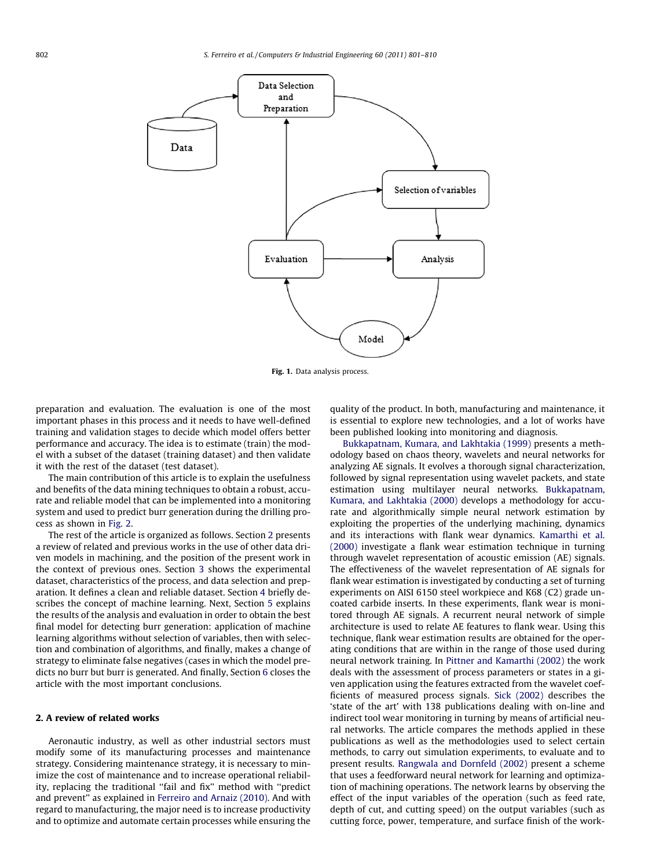<span id="page-1-0"></span>

Fig. 1. Data analysis process.

preparation and evaluation. The evaluation is one of the most important phases in this process and it needs to have well-defined training and validation stages to decide which model offers better performance and accuracy. The idea is to estimate (train) the model with a subset of the dataset (training dataset) and then validate it with the rest of the dataset (test dataset).

The main contribution of this article is to explain the usefulness and benefits of the data mining techniques to obtain a robust, accurate and reliable model that can be implemented into a monitoring system and used to predict burr generation during the drilling process as shown in [Fig. 2.](#page--1-0)

The rest of the article is organized as follows. Section 2 presents a review of related and previous works in the use of other data driven models in machining, and the position of the present work in the context of previous ones. Section [3](#page--1-0) shows the experimental dataset, characteristics of the process, and data selection and preparation. It defines a clean and reliable dataset. Section [4](#page--1-0) briefly describes the concept of machine learning. Next, Section [5](#page--1-0) explains the results of the analysis and evaluation in order to obtain the best final model for detecting burr generation: application of machine learning algorithms without selection of variables, then with selection and combination of algorithms, and finally, makes a change of strategy to eliminate false negatives (cases in which the model predicts no burr but burr is generated. And finally, Section [6](#page--1-0) closes the article with the most important conclusions.

#### 2. A review of related works

Aeronautic industry, as well as other industrial sectors must modify some of its manufacturing processes and maintenance strategy. Considering maintenance strategy, it is necessary to minimize the cost of maintenance and to increase operational reliability, replacing the traditional "fail and fix" method with "predict and prevent'' as explained in [Ferreiro and Arnaiz \(2010\)](#page--1-0). And with regard to manufacturing, the major need is to increase productivity and to optimize and automate certain processes while ensuring the quality of the product. In both, manufacturing and maintenance, it is essential to explore new technologies, and a lot of works have been published looking into monitoring and diagnosis.

[Bukkapatnam, Kumara, and Lakhtakia \(1999\)](#page--1-0) presents a methodology based on chaos theory, wavelets and neural networks for analyzing AE signals. It evolves a thorough signal characterization, followed by signal representation using wavelet packets, and state estimation using multilayer neural networks. [Bukkapatnam,](#page--1-0) [Kumara, and Lakhtakia \(2000\)](#page--1-0) develops a methodology for accurate and algorithmically simple neural network estimation by exploiting the properties of the underlying machining, dynamics and its interactions with flank wear dynamics. [Kamarthi et al.](#page--1-0) [\(2000\)](#page--1-0) investigate a flank wear estimation technique in turning through wavelet representation of acoustic emission (AE) signals. The effectiveness of the wavelet representation of AE signals for flank wear estimation is investigated by conducting a set of turning experiments on AISI 6150 steel workpiece and K68 (C2) grade uncoated carbide inserts. In these experiments, flank wear is monitored through AE signals. A recurrent neural network of simple architecture is used to relate AE features to flank wear. Using this technique, flank wear estimation results are obtained for the operating conditions that are within in the range of those used during neural network training. In [Pittner and Kamarthi \(2002\)](#page--1-0) the work deals with the assessment of process parameters or states in a given application using the features extracted from the wavelet coefficients of measured process signals. [Sick \(2002\)](#page--1-0) describes the 'state of the art' with 138 publications dealing with on-line and indirect tool wear monitoring in turning by means of artificial neural networks. The article compares the methods applied in these publications as well as the methodologies used to select certain methods, to carry out simulation experiments, to evaluate and to present results. [Rangwala and Dornfeld \(2002\)](#page--1-0) present a scheme that uses a feedforward neural network for learning and optimization of machining operations. The network learns by observing the effect of the input variables of the operation (such as feed rate, depth of cut, and cutting speed) on the output variables (such as cutting force, power, temperature, and surface finish of the work-